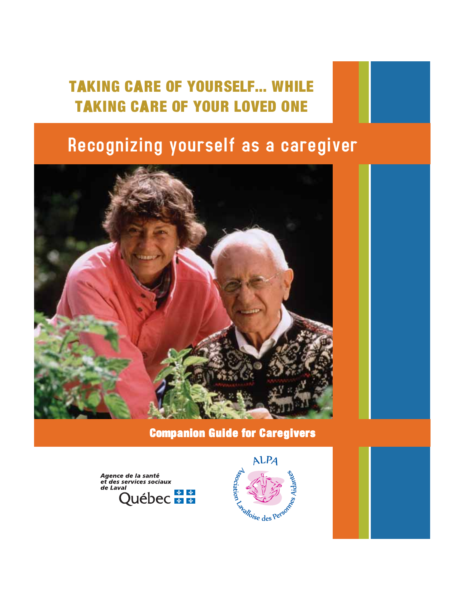# TAKING CARE OF YOURSELF... WHILE TAKING CARE OF YOUR LOVED ONE

# Recognizing yourself as a caregiver



# Companion Guide for Caregivers



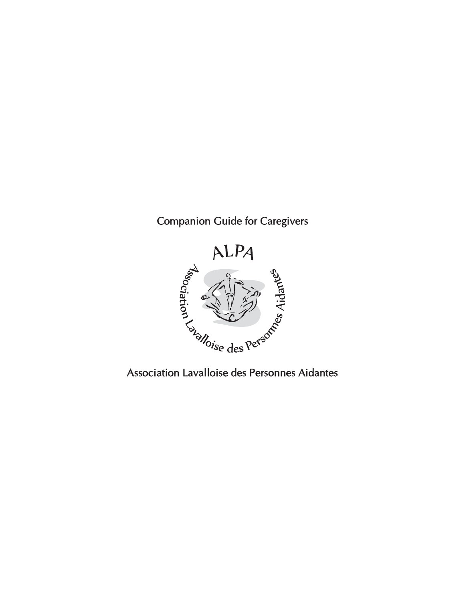# Companion Guide for Caregivers

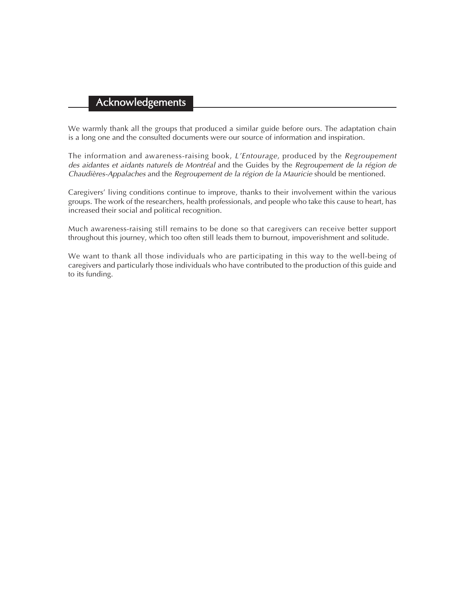# Acknowledgements

We warmly thank all the groups that produced a similar guide before ours. The adaptation chain is a long one and the consulted documents were our source of information and inspiration.

The information and awareness-raising book, *L'Entourage*, produced by the *Regroupement* des aidantes et aidants naturels de Montréal and the Guides by the Regroupement de la région de Chaudières-Appalaches and the Regroupement de la région de la Mauricie should be mentioned.

Caregivers' living conditions continue to improve, thanks to their involvement within the various groups. The work of the researchers, health professionals, and people who take this cause to heart, has increased their social and political recognition.

Much awareness-raising still remains to be done so that caregivers can receive better support throughout this journey, which too often still leads them to burnout, impoverishment and solitude.

We want to thank all those individuals who are participating in this way to the well-being of caregivers and particularly those individuals who have contributed to the production of this guide and to its funding.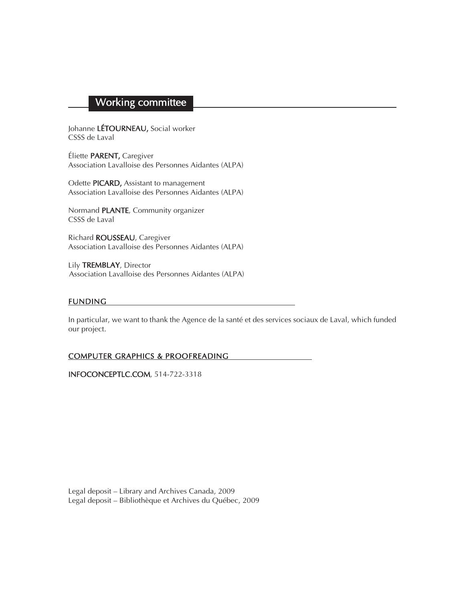# Working committee

Johanne LÉTOURNEAU, Social worker CSSS de Laval

Éliette PARENT, Caregiver Association Lavalloise des Personnes Aidantes (ALPA)

Odette PICARD, Assistant to management Association Lavalloise des Personnes Aidantes (ALPA)

Normand PLANTE, Community organizer CSSS de Laval

Richard ROUSSEAU, Caregiver Association Lavalloise des Personnes Aidantes (ALPA)

Lily TREMBLAY, Director Association Lavalloise des Personnes Aidantes (ALPA)

#### FUNDING

In particular, we want to thank the Agence de la santé et des services sociaux de Laval, which funded our project.

#### COMPUTER GRAPHICS & PROOFREADING

INFOCONCEPTLC.COM, 514-722-3318

Legal deposit – Library and Archives Canada, 2009 Legal deposit – Bibliothèque et Archives du Québec, 2009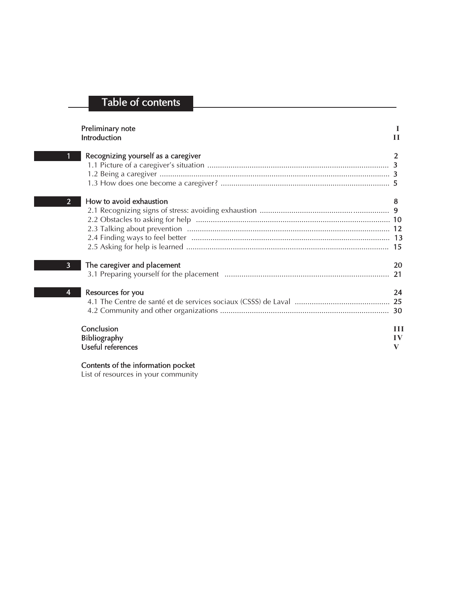# Table of contents

|                | Preliminary note<br>Introduction                       | Н            |
|----------------|--------------------------------------------------------|--------------|
|                | Recognizing yourself as a caregiver                    | 2            |
| $\overline{2}$ | How to avoid exhaustion                                | 8<br>15      |
| $\overline{3}$ | The caregiver and placement                            | 20<br>21     |
| 4              | Resources for you                                      | 24<br>30     |
|                | Conclusion<br><b>Bibliography</b><br>Useful references | Ш<br>IV<br>V |

#### Contents of the information pocket

List of resources in your community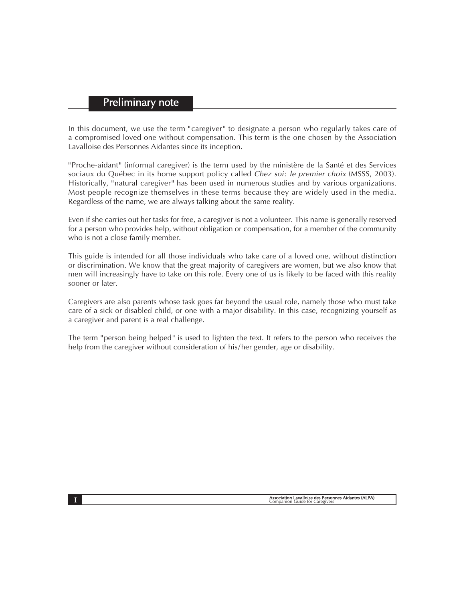#### Preliminary note

In this document, we use the term "caregiver" to designate a person who regularly takes care of a compromised loved one without compensation. This term is the one chosen by the Association Lavalloise des Personnes Aidantes since its inception.

" Proche-aidant " (informal caregiver) is the term used by the ministère de la Santé et des Services sociaux du Québec in its home support policy called *Chez soi: le premier choix* (MSSS, 2003). Historically, "natural caregiver" has been used in numerous studies and by various organizations. Most people recognize themselves in these terms because they are widely used in the media. Regardless of the name, we are always talking about the same reality.

Even if she carries out her tasks for free, a caregiver is not a volunteer. This name is generally reserved for a person who provides help, without obligation or compensation, for a member of the community who is not a close family member.

This guide is intended for all those individuals who take care of a loved one, without distinction or discrimination. We know that the great majority of caregivers are women, but we also know that men will increasingly have to take on this role. Every one of us is likely to be faced with this reality sooner or later.

Caregivers are also parents whose task goes far beyond the usual role, namely those who must take care of a sick or disabled child, or one with a major disability. In this case, recognizing yourself as a caregiver and parent is a real challenge.

The term " person being helped" is used to lighten the text. It refers to the person who receives the help from the caregiver without consideration of his/her gender, age or disability.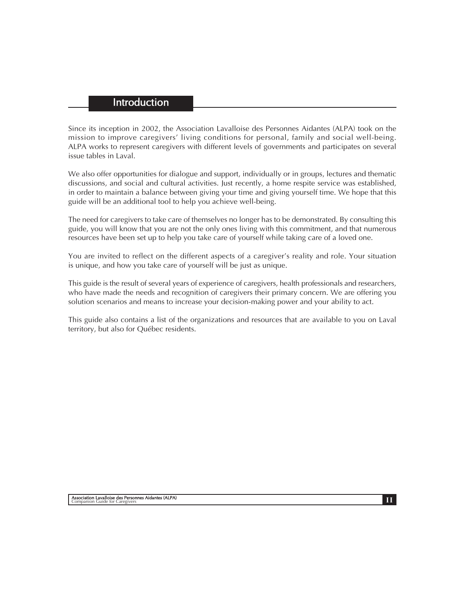## **Introduction**

Since its inception in 2002, the Association Lavalloise des Personnes Aidantes (ALPA) took on the mission to improve caregivers' living conditions for personal, family and social well-being. ALPA works to represent caregivers with different levels of governments and participates on several issue tables in Laval.

We also offer opportunities for dialogue and support, individually or in groups, lectures and thematic discussions, and social and cultural activities. Just recently, a home respite service was established, in order to maintain a balance between giving your time and giving yourself time. We hope that this guide will be an additional tool to help you achieve well-being.

The need for caregivers to take care of themselves no longer has to be demonstrated. By consulting this guide, you will know that you are not the only ones living with this commitment, and that numerous resources have been set up to help you take care of yourself while taking care of a loved one.

You are invited to reflect on the different aspects of a caregiver's reality and role. Your situation is unique, and how you take care of yourself will be just as unique.

This guide is the result of several years of experience of caregivers, health professionals and researchers, who have made the needs and recognition of caregivers their primary concern. We are offering you solution scenarios and means to increase your decision-making power and your ability to act.

This guide also contains a list of the organizations and resources that are available to you on Laval territory, but also for Québec residents.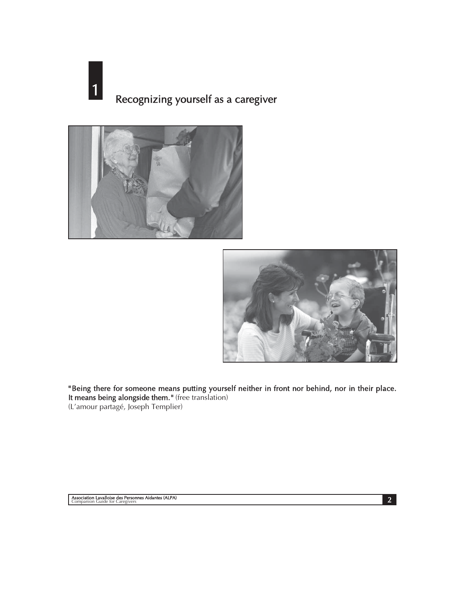# 1 Recognizing yourself as a caregiver





" Being there for someone means putting yourself neither in front nor behind, nor in their place. It means being alongside them. " (free translation) (L'amour partagé, Joseph Templier)

2 Association Lavalloise des Personnes Aidantes (ALPA)<br>Companion Guide for Caregivers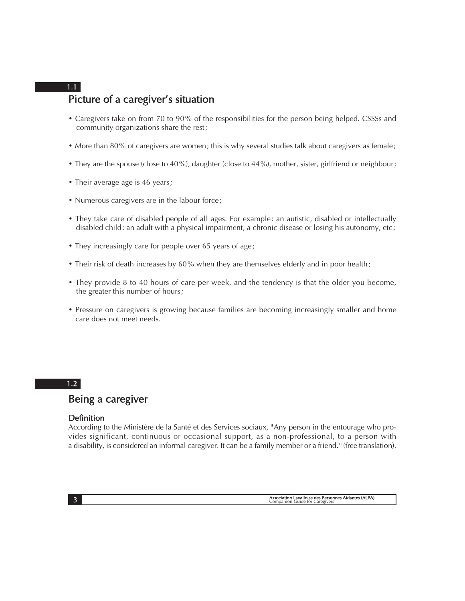## Picture of a caregiver's situation 1.1

- Caregivers take on from 70 to 90% of the responsibilities for the person being helped. CSSSs and community organizations share the rest ;
- More than 80% of caregivers are women; this is why several studies talk about caregivers as female;
- They are the spouse (close to 40%), daughter (close to 44%), mother, sister, girlfriend or neighbour;
- Their average age is 46 years;
- Numerous caregivers are in the labour force;
- They take care of disabled people of all ages. For example: an autistic, disabled or intellectually disabled child; an adult with a physical impairment, a chronic disease or losing his autonomy, etc;
- They increasingly care for people over 65 years of age ;
- Their risk of death increases by 60% when they are themselves elderly and in poor health;
- They provide 8 to 40 hours of care per week, and the tendency is that the older you become, the greater this number of hours ;
- Pressure on caregivers is growing because families are becoming increasingly smaller and home care does not meet needs.

#### 1.2

# Being a caregiver

#### Definition

According to the Ministère de la Santé et des Services sociaux, " Any person in the entourage who provides significant, continuous or occasional support, as a non-professional, to a person with a disability, is considered an informal caregiver. It can be a family member or a friend. " (free translation).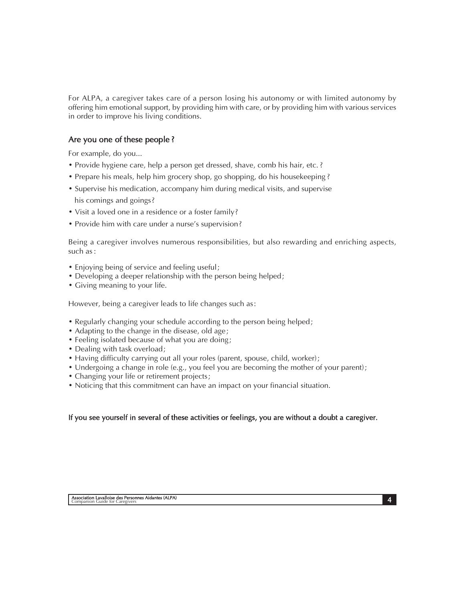For ALPA, a caregiver takes care of a person losing his autonomy or with limited autonomy by offering him emotional support, by providing him with care, or by providing him with various services in order to improve his living conditions.

#### Are you one of these people ?

For example, do you...

- Provide hygiene care, help a person get dressed, shave, comb his hair, etc. ?
- Prepare his meals, help him grocery shop, go shopping, do his housekeeping ?
- Supervise his medication, accompany him during medical visits, and supervise his comings and goings?
- Visit a loved one in a residence or a foster family?
- Provide him with care under a nurse's supervision?

Being a caregiver involves numerous responsibilities, but also rewarding and enriching aspects, such as :

- Enjoying being of service and feeling useful ;
- Developing a deeper relationship with the person being helped ;
- Giving meaning to your life.

However, being a caregiver leads to life changes such as :

- Regularly changing your schedule according to the person being helped ;
- Adapting to the change in the disease, old age;
- Feeling isolated because of what you are doing;
- Dealing with task overload;
- Having difficulty carrying out all your roles (parent, spouse, child, worker) ;
- Undergoing a change in role (e.g., you feel you are becoming the mother of your parent) ;
- Changing your life or retirement projects;
- Noticing that this commitment can have an impact on your financial situation.

#### If you see yourself in several of these activities or feelings, you are without a doubt a caregiver.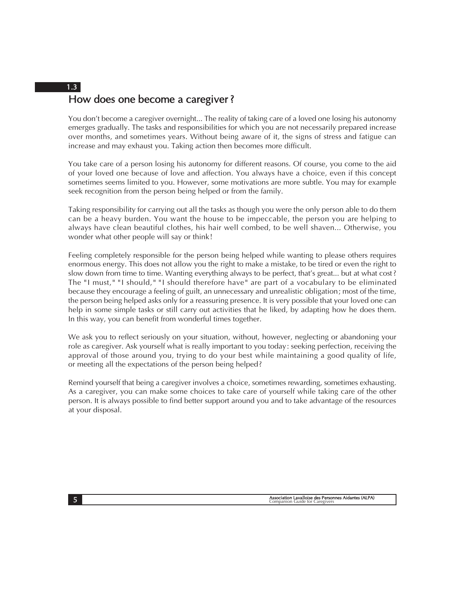# How does one become a caregiver ? 1.3

You don't become a caregiver overnight... The reality of taking care of a loved one losing his autonomy emerges gradually. The tasks and responsibilities for which you are not necessarily prepared increase over months, and sometimes years. Without being aware of it, the signs of stress and fatigue can increase and may exhaust you. Taking action then becomes more difficult.

You take care of a person losing his autonomy for different reasons. Of course, you come to the aid of your loved one because of love and affection. You always have a choice, even if this concept sometimes seems limited to you. However, some motivations are more subtle. You may for example seek recognition from the person being helped or from the family.

Taking responsibility for carrying out all the tasks as though you were the only person able to do them can be a heavy burden. You want the house to be impeccable, the person you are helping to always have clean beautiful clothes, his hair well combed, to be well shaven... Otherwise, you wonder what other people will say or think !

Feeling completely responsible for the person being helped while wanting to please others requires enormous energy. This does not allow you the right to make a mistake, to be tired or even the right to slow down from time to time. Wanting everything always to be perfect, that's great... but at what cost ? The "I must," "I should," "I should therefore have" are part of a vocabulary to be eliminated because they encourage a feeling of guilt, an unnecessary and unrealistic obligation ; most of the time, the person being helped asks only for a reassuring presence. It is very possible that your loved one can help in some simple tasks or still carry out activities that he liked, by adapting how he does them. In this way, you can benefit from wonderful times together.

We ask you to reflect seriously on your situation, without, however, neglecting or abandoning your role as caregiver. Ask yourself what is really important to you today : seeking perfection, receiving the approval of those around you, trying to do your best while maintaining a good quality of life, or meeting all the expectations of the person being helped ?

Remind yourself that being a caregiver involves a choice, sometimes rewarding, sometimes exhausting. As a caregiver, you can make some choices to take care of yourself while taking care of the other person. It is always possible to find better support around you and to take advantage of the resources at your disposal.

Association Lavalloise des Personnes Aidantes (ALPA) 5 Companion Guide for Caregivers Aidantes (ALPA)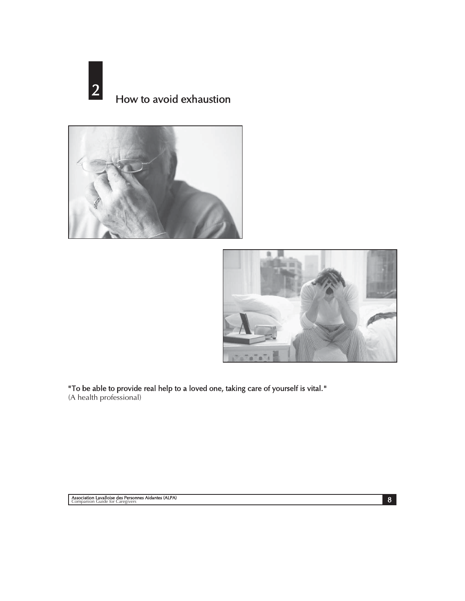2 How to avoid exhaustion





" To be able to provide real help to a loved one, taking care of yourself is vital. "

(A health professional)

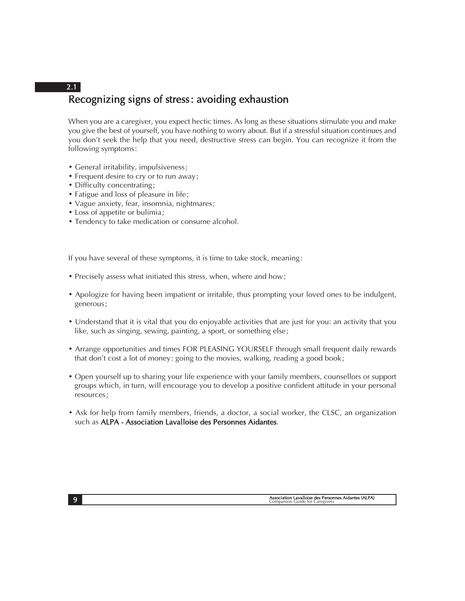# Recognizing signs of stress : avoiding exhaustion 2.1

When you are a caregiver, you expect hectic times. As long as these situations stimulate you and make you give the best of yourself, you have nothing to worry about. But if a stressful situation continues and you don't seek the help that you need, destructive stress can begin. You can recognize it from the following symptoms :

- General irritability, impulsiveness ;
- Frequent desire to cry or to run away ;
- Difficulty concentrating;
- Fatigue and loss of pleasure in life;
- Vague anxiety, fear, insomnia, nightmares ;
- Loss of appetite or bulimia ;
- Tendency to take medication or consume alcohol.

If you have several of these symptoms, it is time to take stock, meaning :

- Precisely assess what initiated this stress, when, where and how ;
- Apologize for having been impatient or irritable, thus prompting your loved ones to be indulgent, generous ;
- Understand that it is vital that you do enjoyable activities that are just for you: an activity that you like, such as singing, sewing, painting, a sport, or something else;
- Arrange opportunities and times FOR PLEASING YOURSELF through small frequent daily rewards that don't cost a lot of money: going to the movies, walking, reading a good book;
- Open yourself up to sharing your life experience with your family members, counsellors or support groups which, in turn, will encourage you to develop a positive confident attitude in your personal resources ;
- Ask for help from family members, friends, a doctor, a social worker, the CLSC, an organization such as ALPA - Association Lavalloise des Personnes Aidantes.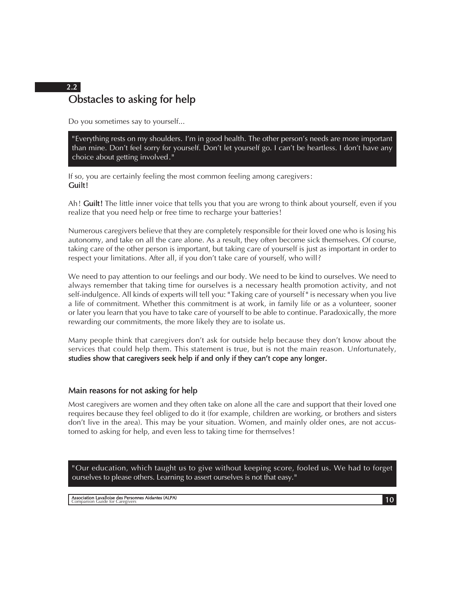# Obstacles to asking for help 2.2

Do you sometimes say to yourself...

" Everything rests on my shoulders. I'm in good health. The other person's needs are more important than mine. Don't feel sorry for yourself. Don't let yourself go. I can't be heartless. I don't have any choice about getting involved . "

If so, you are certainly feeling the most common feeling among caregivers : Guilt!

Ah! Guilt! The little inner voice that tells you that you are wrong to think about yourself, even if you realize that you need help or free time to recharge your batteries!

Numerous caregivers believe that they are completely responsible for their loved one who is losing his autonomy, and take on all the care alone. As a result, they often become sick themselves. Of course, taking care of the other person is important, but taking care of yourself is just as important in order to respect your limitations. After all, if you don't take care of yourself, who will ?

We need to pay attention to our feelings and our body. We need to be kind to ourselves. We need to always remember that taking time for ourselves is a necessary health promotion activity, and not self-indulgence. All kinds of experts will tell you: " Taking care of yourself " is necessary when you live a life of commitment. Whether this commitment is at work, in family life or as a volunteer, sooner or later you learn that you have to take care of yourself to be able to continue. Paradoxically, the more rewarding our commitments, the more likely they are to isolate us.

Many people think that caregivers don't ask for outside help because they don't know about the services that could help them. This statement is true, but is not the main reason. Unfortunately, studies show that caregivers seek help if and only if they can't cope any longer.

#### Main reasons for not asking for help

Most caregivers are women and they often take on alone all the care and support that their loved one requires because they feel obliged to do it (for example, children are working, or brothers and sisters don't live in the area). This may be your situation. Women, and mainly older ones, are not accustomed to asking for help, and even less to taking time for themselves !

" Our education, which taught us to give without keeping score, fooled us. We had to forget ourselves to please others. Learning to assert ourselves is not that easy. "

10 Association Lavalloise des Personnes Aidantes (ALPA) Companion Guide for Caregivers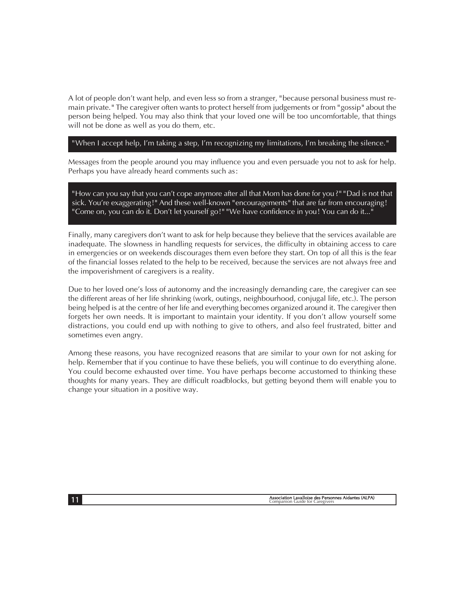A lot of people don't want help, and even less so from a stranger, " because personal business must remain private. " The caregiver often wants to protect herself from judgements or from "gossip" about the person being helped. You may also think that your loved one will be too uncomfortable, that things will not be done as well as you do them, etc.

#### " When I accept help, I'm taking a step, I'm recognizing my limitations, I'm breaking the silence. "

Messages from the people around you may influence you and even persuade you not to ask for help. Perhaps you have already heard comments such as :

" How can you say that you can't cope anymore after all that Mom has done for you ? " " Dad is not that sick. You're exaggerating!" And these well-known "encouragements" that are far from encouraging! " Come on, you can do it. Don't let yourself go!" "We have confidence in you! You can do it..."

Finally, many caregivers don't want to ask for help because they believe that the services available are inadequate. The slowness in handling requests for services, the difficulty in obtaining access to care in emergencies or on weekends discourages them even before they start. On top of all this is the fear of the financial losses related to the help to be received, because the services are not always free and the impoverishment of caregivers is a reality.

Due to her loved one's loss of autonomy and the increasingly demanding care, the caregiver can see the different areas of her life shrinking (work, outings, neighbourhood, conjugal life, etc.). The person being helped is at the centre of her life and everything becomes organized around it. The caregiver then forgets her own needs. It is important to maintain your identity. If you don't allow yourself some distractions, you could end up with nothing to give to others, and also feel frustrated, bitter and sometimes even angry.

Among these reasons, you have recognized reasons that are similar to your own for not asking for help. Remember that if you continue to have these beliefs, you will continue to do everything alone. You could become exhausted over time. You have perhaps become accustomed to thinking these thoughts for many years. They are difficult roadblocks, but getting beyond them will enable you to change your situation in a positive way.

Association Lavalloise des Personnes Aidantes (ALPA)<br>
Companion Guide for Caregivers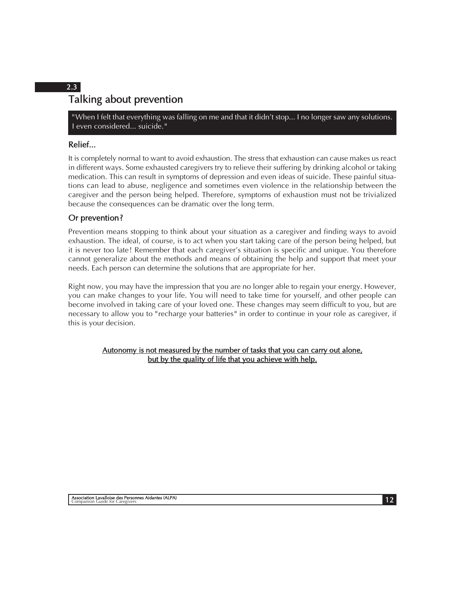# Talking about prevention 2.3

" When I felt that everything was falling on me and that it didn't stop... I no longer saw any solutions. I even considered... suicide. "

#### Relief...

It is completely normal to want to avoid exhaustion. The stress that exhaustion can cause makes us react in different ways. Some exhausted caregivers try to relieve their suffering by drinking alcohol or taking medication. This can result in symptoms of depression and even ideas of suicide. These painful situations can lead to abuse, negligence and sometimes even violence in the relationship between the caregiver and the person being helped. Therefore, symptoms of exhaustion must not be trivialized because the consequences can be dramatic over the long term.

#### Or prevention?

Prevention means stopping to think about your situation as a caregiver and finding ways to avoid exhaustion. The ideal, of course, is to act when you start taking care of the person being helped, but it is never too late! Remember that each caregiver's situation is specific and unique. You therefore cannot generalize about the methods and means of obtaining the help and support that meet your needs. Each person can determine the solutions that are appropriate for her.

Right now, you may have the impression that you are no longer able to regain your energy. However, you can make changes to your life. You will need to take time for yourself, and other people can become involved in taking care of your loved one. These changes may seem difficult to you, but are necessary to allow you to " recharge your batteries " in order to continue in your role as caregiver, if this is your decision.

Autonomy is not measured by the number of tasks that you can carry out alone, but by the quality of life that you achieve with help.

12 Association Lavalloise des Personnes Aidantes (ALPA) Companion Guide for Caregivers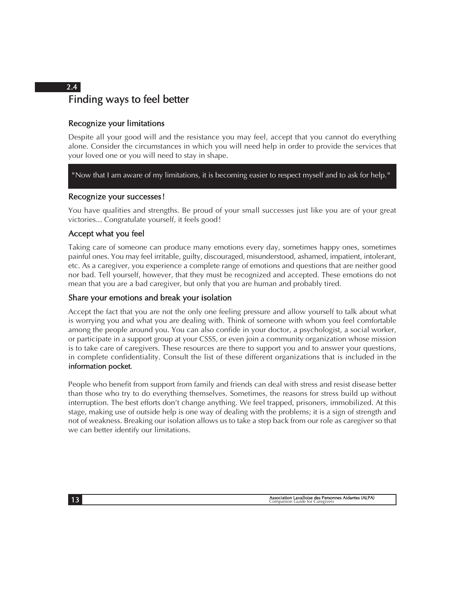# Finding ways to feel better

#### Recognize your limitations

Despite all your good will and the resistance you may feel, accept that you cannot do everything alone. Consider the circumstances in which you will need help in order to provide the services that your loved one or you will need to stay in shape.

" Now that I am aware of my limitations, it is becoming easier to respect myself and to ask for help. "

#### Recognize your successes!

You have qualities and strengths. Be proud of your small successes just like you are of your great victories... Congratulate yourself, it feels good !

#### Accept what you feel

Taking care of someone can produce many emotions every day, sometimes happy ones, sometimes painful ones. You may feel irritable, guilty, discouraged, misunderstood, ashamed, impatient, intolerant, etc. As a caregiver, you experience a complete range of emotions and questions that are neither good nor bad. Tell yourself, however, that they must be recognized and accepted. These emotions do not mean that you are a bad caregiver, but only that you are human and probably tired.

#### Share your emotions and break your isolation

Accept the fact that you are not the only one feeling pressure and allow yourself to talk about what is worrying you and what you are dealing with. Think of someone with whom you feel comfortable among the people around you. You can also confide in your doctor, a psychologist, a social worker, or participate in a support group at your CSSS, or even join a community organization whose mission is to take care of caregivers. These resources are there to support you and to answer your questions, in complete confidentiality. Consult the list of these different organizations that is included in the information pocket.

People who benefit from support from family and friends can deal with stress and resist disease better than those who try to do everything themselves. Sometimes, the reasons for stress build up without interruption. The best efforts don't change anything. We feel trapped, prisoners, immobilized. At this stage, making use of outside help is one way of dealing with the problems; it is a sign of strength and not of weakness. Breaking our isolation allows us to take a step back from our role as caregiver so that we can better identify our limitations.

Association Lavalloise des Personnes Aidantes (ALPA)<br>
Companion Guide for Caregivers

2.4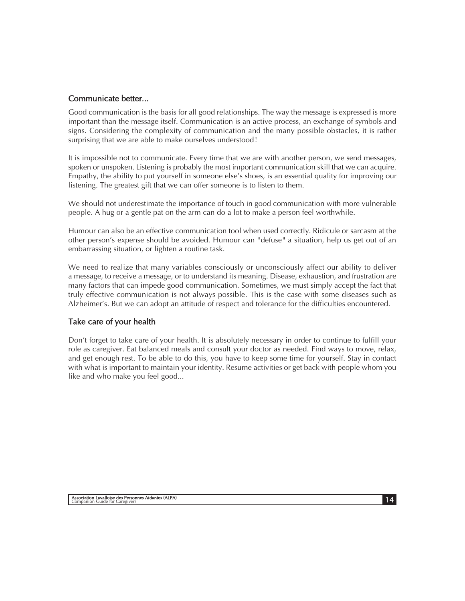#### Communicate better...

Good communication is the basis for all good relationships. The way the message is expressed is more important than the message itself. Communication is an active process, an exchange of symbols and signs. Considering the complexity of communication and the many possible obstacles, it is rather surprising that we are able to make ourselves understood !

It is impossible not to communicate. Every time that we are with another person, we send messages, spoken or unspoken. Listening is probably the most important communication skill that we can acquire. Empathy, the ability to put yourself in someone else's shoes, is an essential quality for improving our listening. The greatest gift that we can offer someone is to listen to them.

We should not underestimate the importance of touch in good communication with more vulnerable people. A hug or a gentle pat on the arm can do a lot to make a person feel worthwhile.

Humour can also be an effective communication tool when used correctly. Ridicule or sarcasm at the other person's expense should be avoided. Humour can " defuse " a situation, help us get out of an embarrassing situation, or lighten a routine task.

We need to realize that many variables consciously or unconsciously affect our ability to deliver a message, to receive a message, or to understand its meaning. Disease, exhaustion, and frustration are many factors that can impede good communication. Sometimes, we must simply accept the fact that truly effective communication is not always possible. This is the case with some diseases such as Alzheimer's. But we can adopt an attitude of respect and tolerance for the difficulties encountered.

#### Take care of your health

Don't forget to take care of your health. It is absolutely necessary in order to continue to fulfill your role as caregiver. Eat balanced meals and consult your doctor as needed. Find ways to move, relax, and get enough rest. To be able to do this, you have to keep some time for yourself. Stay in contact with what is important to maintain your identity. Resume activities or get back with people whom you like and who make you feel good...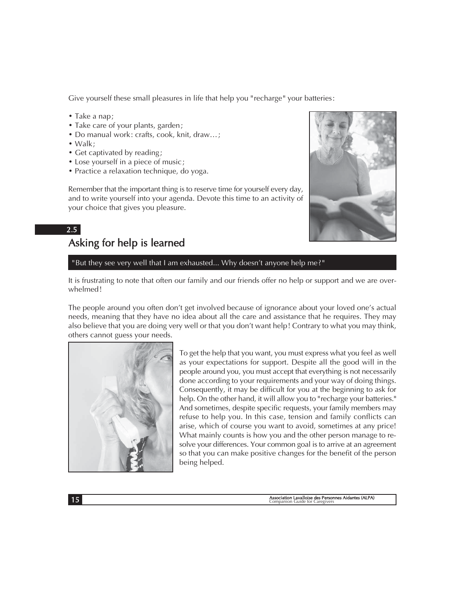Give yourself these small pleasures in life that help you "recharge" your batteries:

- Take a nap ;
- Take care of your plants, garden;
- Do manual work: crafts, cook, knit, draw...;
- $\bullet$  Walk:
- Get captivated by reading;
- Lose yourself in a piece of music;
- Practice a relaxation technique, do yoga.

Remember that the important thing is to reserve time for yourself every day, and to write yourself into your agenda. Devote this time to an activity of your choice that gives you pleasure.

#### 2.5

# Asking for help is learned

#### "But they see very well that I am exhausted... Why doesn't anyone help me?"

It is frustrating to note that often our family and our friends offer no help or support and we are overwhelmed!

The people around you often don't get involved because of ignorance about your loved one's actual needs, meaning that they have no idea about all the care and assistance that he requires. They may also believe that you are doing very well or that you don't want help ! Contrary to what you may think, others cannot guess your needs.



To get the help that you want, you must express what you feel as well as your expectations for support. Despite all the good will in the people around you, you must accept that everything is not necessarily done according to your requirements and your way of doing things. Consequently, it may be difficult for you at the beginning to ask for help. On the other hand, it will allow you to "recharge your batteries." And sometimes, despite specific requests, your family members may refuse to help you. In this case, tension and family conflicts can arise, which of course you want to avoid, sometimes at any price! What mainly counts is how you and the other person manage to resolve your differences. Your common goal is to arrive at an agreement so that you can make positive changes for the benefit of the person being helped.

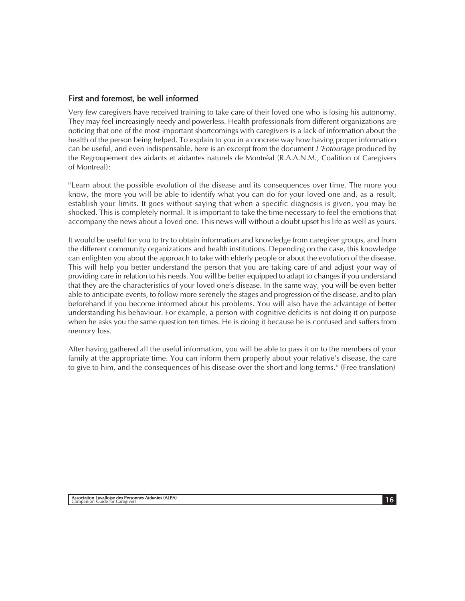#### First and foremost, be well informed

Very few caregivers have received training to take care of their loved one who is losing his autonomy. They may feel increasingly needy and powerless. Health professionals from different organizations are noticing that one of the most important shortcomings with caregivers is a lack of information about the health of the person being helped. To explain to you in a concrete way how having proper information can be useful, and even indispensable, here is an excerpt from the document  $L'$ *Entourage* produced by the Regroupement des aidants et aidantes naturels de Montréal (R.A.A.N.M., Coalition of Caregivers of Montreal) :

"Learn about the possible evolution of the disease and its consequences over time. The more you know, the more you will be able to identify what you can do for your loved one and, as a result, establish your limits. It goes without saying that when a specific diagnosis is given, you may be shocked. This is completely normal. It is important to take the time necessary to feel the emotions that accompany the news about a loved one. This news will without a doubt upset his life as well as yours.

It would be useful for you to try to obtain information and knowledge from caregiver groups, and from the different community organizations and health institutions. Depending on the case, this knowledge can enlighten you about the approach to take with elderly people or about the evolution of the disease. This will help you better understand the person that you are taking care of and adjust your way of providing care in relation to his needs. You will be better equipped to adapt to changes if you understand that they are the characteristics of your loved one's disease. In the same way, you will be even better able to anticipate events, to follow more serenely the stages and progression of the disease, and to plan beforehand if you become informed about his problems. You will also have the advantage of better understanding his behaviour. For example, a person with cognitive deficits is not doing it on purpose when he asks you the same question ten times. He is doing it because he is confused and suffers from memory loss.

After having gathered all the useful information, you will be able to pass it on to the members of your family at the appropriate time. You can inform them properly about your relative's disease, the care to give to him, and the consequences of his disease over the short and long terms. " (Free translation)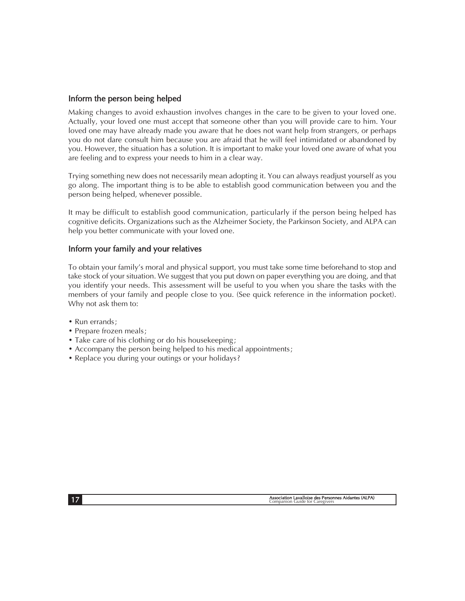#### Inform the person being helped

Making changes to avoid exhaustion involves changes in the care to be given to your loved one. Actually, your loved one must accept that someone other than you will provide care to him. Your loved one may have already made you aware that he does not want help from strangers, or perhaps you do not dare consult him because you are afraid that he will feel intimidated or abandoned by you. However, the situation has a solution. It is important to make your loved one aware of what you are feeling and to express your needs to him in a clear way.

Trying something new does not necessarily mean adopting it. You can always readjust yourself as you go along. The important thing is to be able to establish good communication between you and the person being helped, whenever possible.

It may be difficult to establish good communication, particularly if the person being helped has cognitive deficits. Organizations such as the Alzheimer Society, the Parkinson Society, and ALPA can help you better communicate with your loved one.

#### Inform your family and your relatives

To obtain your family's moral and physical support, you must take some time beforehand to stop and take stock of your situation. We suggest that you put down on paper everything you are doing, and that you identify your needs. This assessment will be useful to you when you share the tasks with the members of your family and people close to you. (See quick reference in the information pocket). Why not ask them to:

- Run errands ;
- Prepare frozen meals:
- Take care of his clothing or do his housekeeping;
- Accompany the person being helped to his medical appointments ;
- Replace you during your outings or your holidays ?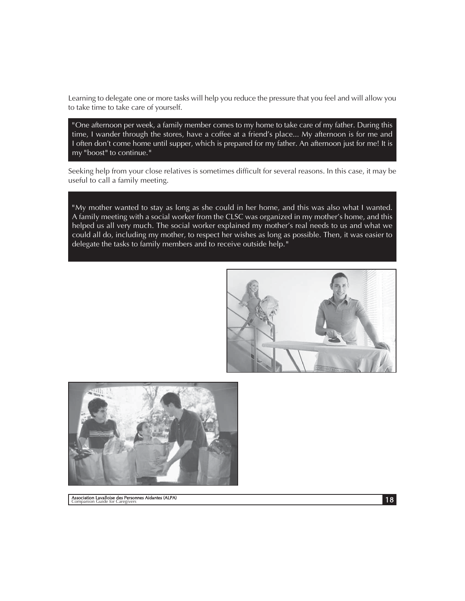Learning to delegate one or more tasks will help you reduce the pressure that you feel and will allow you to take time to take care of yourself.

" One afternoon per week, a family member comes to my home to take care of my father. During this time, I wander through the stores, have a coffee at a friend's place... My afternoon is for me and I often don't come home until supper, which is prepared for my father. An afternoon just for me! It is my "boost" to continue."

Seeking help from your close relatives is sometimes difficult for several reasons. In this case, it may be useful to call a family meeting.

" My mother wanted to stay as long as she could in her home, and this was also what I wanted. A family meeting with a social worker from the CLSC was organized in my mother's home, and this helped us all very much. The social worker explained my mother's real needs to us and what we could all do, including my mother, to respect her wishes as long as possible. Then, it was easier to delegate the tasks to family members and to receive outside help. "





18 Association Lavalloise des Personnes Aidantes (ALPA) Companion Guide for Caregivers

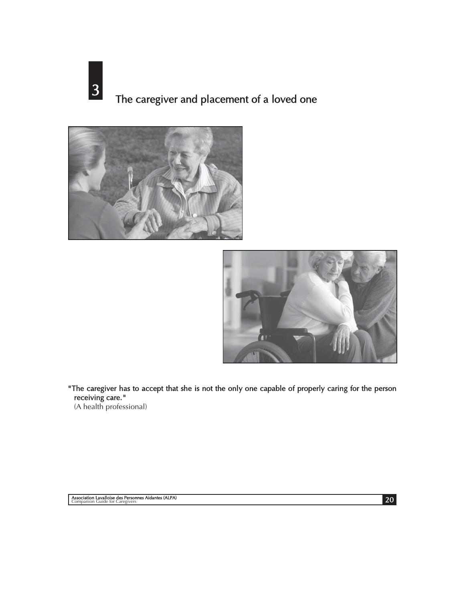3 The caregiver and placement of a loved one





"The caregiver has to accept that she is not the only one capable of properly caring for the person receiving care. "

(A health professional)

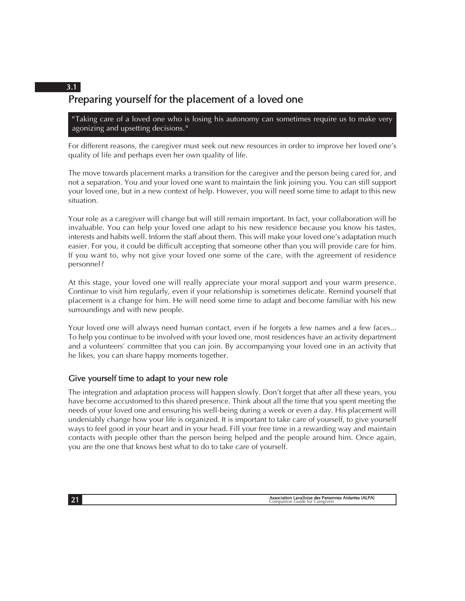# Preparing yourself for the placement of a loved one

" Taking care of a loved one who is losing his autonomy can sometimes require us to make very agonizing and upsetting decisions. "

For different reasons, the caregiver must seek out new resources in order to improve her loved one's quality of life and perhaps even her own quality of life.

The move towards placement marks a transition for the caregiver and the person being cared for, and not a separation. You and your loved one want to maintain the link joining you. You can still support your loved one, but in a new context of help. However, you will need some time to adapt to this new situation.

Your role as a caregiver will change but will still remain important. In fact, your collaboration will be invaluable. You can help your loved one adapt to his new residence because you know his tastes, interests and habits well. Inform the staff about them. This will make your loved one's adaptation much easier. For you, it could be difficult accepting that someone other than you will provide care for him. If you want to, why not give your loved one some of the care, with the agreement of residence personnel ?

At this stage, your loved one will really appreciate your moral support and your warm presence. Continue to visit him regularly, even if your relationship is sometimes delicate. Remind yourself that placement is a change for him. He will need some time to adapt and become familiar with his new surroundings and with new people.

Your loved one will always need human contact, even if he forgets a few names and a few faces... To help you continue to be involved with your loved one, most residences have an activity department and a volunteers' committee that you can join. By accompanying your loved one in an activity that he likes, you can share happy moments together.

#### Give yourself time to adapt to your new role

The integration and adaptation process will happen slowly. Don't forget that after all these years, you have become accustomed to this shared presence. Think about all the time that you spent meeting the needs of your loved one and ensuring his well-being during a week or even a day. His placement will undeniably change how your life is organized. It is important to take care of yourself, to give yourself ways to feel good in your heart and in your head. Fill your free time in a rewarding way and maintain contacts with people other than the person being helped and the people around him. Once again, you are the one that knows best what to do to take care of yourself.

3.1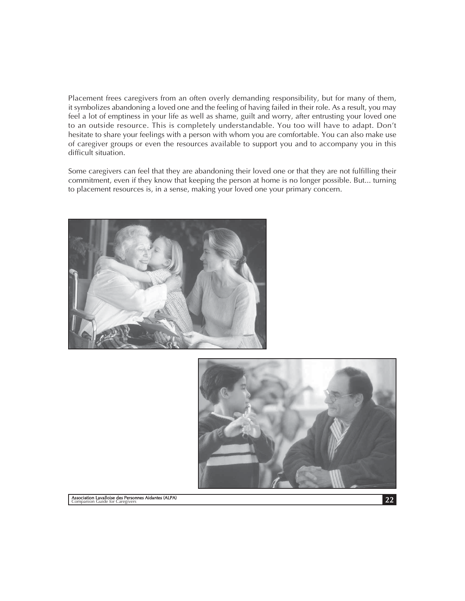Placement frees caregivers from an often overly demanding responsibility, but for many of them, it symbolizes abandoning a loved one and the feeling of having failed in their role. As a result, you may feel a lot of emptiness in your life as well as shame, guilt and worry, after entrusting your loved one to an outside resource. This is completely understandable. You too will have to adapt. Don't hesitate to share your feelings with a person with whom you are comfortable. You can also make use of caregiver groups or even the resources available to support you and to accompany you in this difficult situation.

Some caregivers can feel that they are abandoning their loved one or that they are not fulfilling their commitment, even if they know that keeping the person at home is no longer possible. But... turning to placement resources is, in a sense, making your loved one your primary concern.



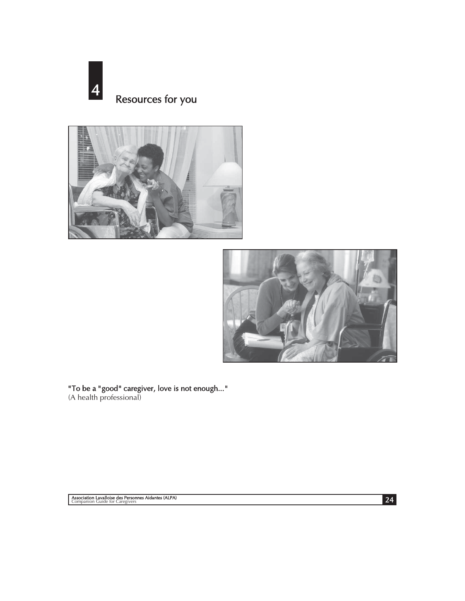





" To be a " good " caregiver, love is not enough... " (A health professional)

24 Association Lavalloise des Personnes Aidantes (ALPA) Companion Guide for Caregivers

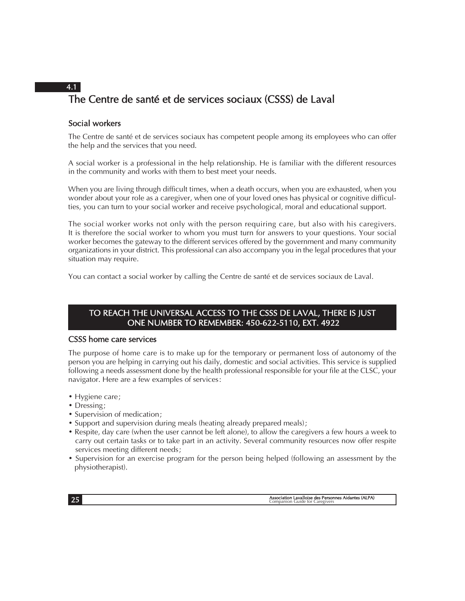# The Centre de santé et de services sociaux (CSSS) de Laval 4.1

#### Social workers

The Centre de santé et de services sociaux has competent people among its employees who can offer the help and the services that you need.

A social worker is a professional in the help relationship. He is familiar with the different resources in the community and works with them to best meet your needs.

When you are living through difficult times, when a death occurs, when you are exhausted, when you wonder about your role as a caregiver, when one of your loved ones has physical or cognitive difficulties, you can turn to your social worker and receive psychological, moral and educational support.

The social worker works not only with the person requiring care, but also with his caregivers. It is therefore the social worker to whom you must turn for answers to your questions. Your social worker becomes the gateway to the different services offered by the government and many community organizations in your district. This professional can also accompany you in the legal procedures that your situation may require.

You can contact a social worker by calling the Centre de santé et de services sociaux de Laval.

#### TO REACH THE UNIVERSAL ACCESS TO THE CSSS DE LAVAL, THERE IS JUST ONE NUMBER TO REMEMBER: 450-622-5110, EXT. 4922

#### CSSS home care services

The purpose of home care is to make up for the temporary or permanent loss of autonomy of the person you are helping in carrying out his daily, domestic and social activities. This service is supplied following a needs assessment done by the health professional responsible for your file at the CLSC, your navigator. Here are a few examples of services :

- Hygiene care;
- Dressing:
- Supervision of medication:
- Support and supervision during meals (heating already prepared meals) ;
- Respite, day care (when the user cannot be left alone), to allow the caregivers a few hours a week to carry out certain tasks or to take part in an activity. Several community resources now offer respite services meeting different needs ;
- Supervision for an exercise program for the person being helped (following an assessment by the physiotherapist).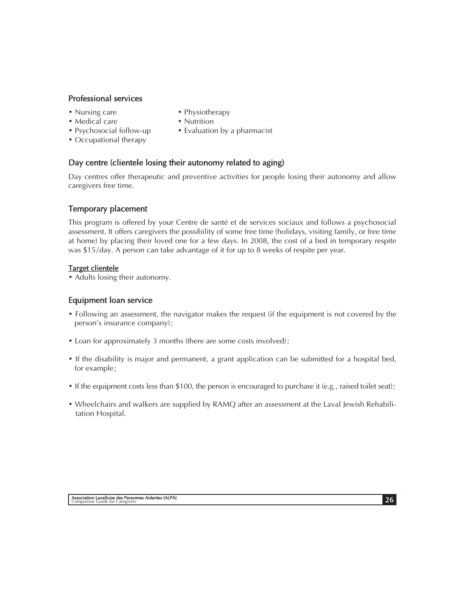#### Professional services

- Nursing care Physiotherapy
	-
- Medical care Nutrition
- Occupational therapy
- 
- Psychosocial follow-up Evaluation by a pharmacist

#### Day centre (clientele losing their autonomy related to aging)

Day centres offer therapeutic and preventive activities for people losing their autonomy and allow caregivers free time.

#### Temporary placement

This program is offered by your Centre de santé et de services sociaux and follows a psychosocial assessment. It offers caregivers the possibility of some free time (holidays, visiting family, or free time at home) by placing their loved one for a few days. In 2008, the cost of a bed in temporary respite was \$15/day. A person can take advantage of it for up to 8 weeks of respite per year.

#### Target clientele

• Adults losing their autonomy.

#### Equipment loan service

- Following an assessment, the navigator makes the request (if the equipment is not covered by the person's insurance company) ;
- Loan for approximately 3 months (there are some costs involved);
- If the disability is major and permanent, a grant application can be submitted for a hospital bed, for example ;
- If the equipment costs less than \$100, the person is encouraged to purchase it (e.g., raised toilet seat);
- Wheelchairs and walkers are supplied by RAMQ after an assessment at the Laval Jewish Rehabilitation Hospital.

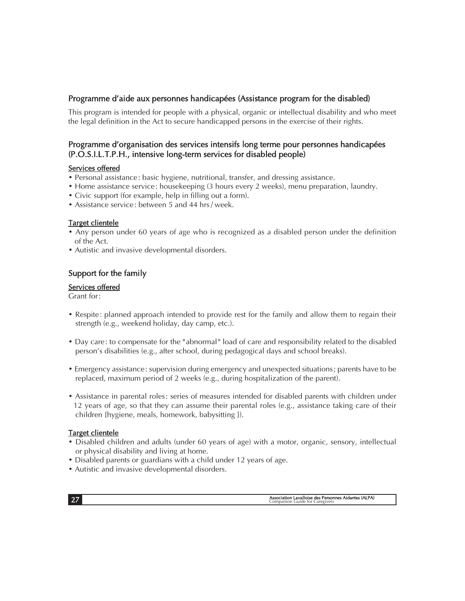#### Programme d'aide aux personnes handicapées (Assistance program for the disabled)

This program is intended for people with a physical, organic or intellectual disability and who meet the legal definition in the Act to secure handicapped persons in the exercise of their rights.

#### Programme d'organisation des services intensifs long terme pour personnes handicapées (P.O.S.I.L.T.P.H., intensive long-term services for disabled people)

#### Services offered

- Personal assistance : basic hygiene, nutritional, transfer, and dressing assistance.
- Home assistance service: housekeeping (3 hours every 2 weeks), menu preparation, laundry.
- Civic support (for example, help in filling out a form).
- Assistance service : between 5 and 44 hrs / week.

#### Target clientele

- Any person under 60 years of age who is recognized as a disabled person under the definition of the Act.
- Autistic and invasive developmental disorders.

#### Support for the family

#### Services offered

Grant for :

- Respite: planned approach intended to provide rest for the family and allow them to regain their strength (e.g., weekend holiday, day camp, etc.).
- Day care : to compensate for the " abnormal " load of care and responsibility related to the disabled person's disabilities (e.g., after school, during pedagogical days and school breaks).
- Emergency assistance : supervision during emergency and unexpected situations ; parents have to be replaced, maximum period of 2 weeks (e.g., during hospitalization of the parent).
- Assistance in parental roles: series of measures intended for disabled parents with children under 12 years of age, so that they can assume their parental roles (e.g., assistance taking care of their children {hygiene, meals, homework, babysitting }).

#### Target clientele

- Disabled children and adults (under 60 years of age) with a motor, organic, sensory, intellectual or physical disability and living at home.
- Disabled parents or guardians with a child under 12 years of age.
- Autistic and invasive developmental disorders.

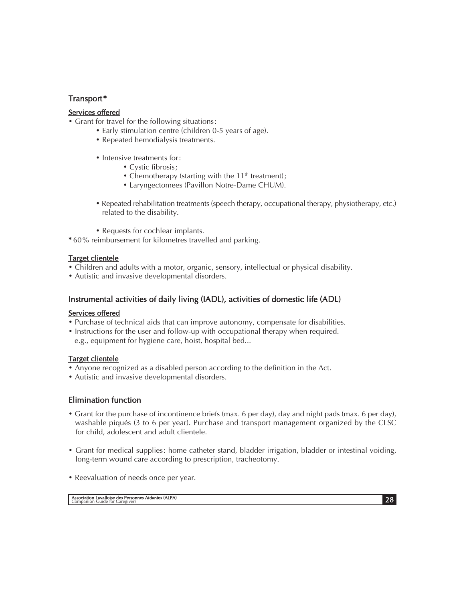#### Transport \*

#### Services offered

• Grant for travel for the following situations:

- Early stimulation centre (children 0-5 years of age).
- Repeated hemodialysis treatments.
- Intensive treatments for:
	- Cystic fibrosis;
	- Chemotherapy (starting with the  $11<sup>th</sup>$  treatment);
	- Laryngectomees (Pavillon Notre-Dame CHUM).
- Repeated rehabilitation treatments (speech therapy, occupational therapy, physiotherapy, etc.) related to the disability.
- Requests for cochlear implants.

\* 60 % reimbursement for kilometres travelled and parking.

#### Target clientele

• Children and adults with a motor, organic, sensory, intellectual or physical disability.

• Autistic and invasive developmental disorders.

#### Instrumental activities of daily living (IADL), activities of domestic life (ADL)

#### Services offered

- Purchase of technical aids that can improve autonomy, compensate for disabilities.
- Instructions for the user and follow-up with occupational therapy when required.
- e.g., equipment for hygiene care, hoist, hospital bed...

#### Target clientele

- Anyone recognized as a disabled person according to the definition in the Act.
- Autistic and invasive developmental disorders.

#### Elimination function

- Grant for the purchase of incontinence briefs (max. 6 per day), day and night pads (max. 6 per day), washable piqués (3 to 6 per year). Purchase and transport management organized by the CLSC for child, adolescent and adult clientele.
- Grant for medical supplies : home catheter stand, bladder irrigation, bladder or intestinal voiding, long-term wound care according to prescription, tracheotomy.
- Reevaluation of needs once per year.

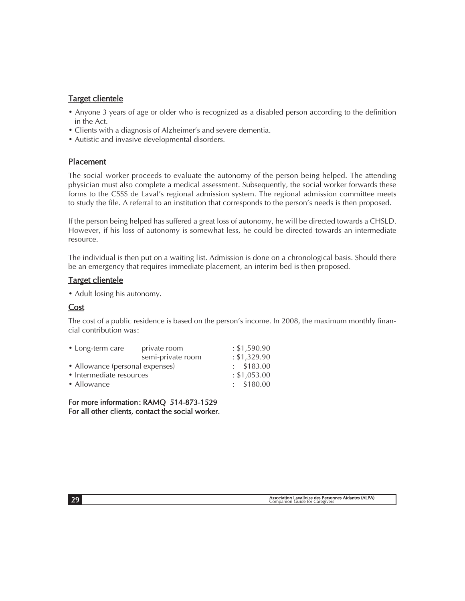#### Target clientele

- Anyone 3 years of age or older who is recognized as a disabled person according to the definition in the Act.
- Clients with a diagnosis of Alzheimer's and severe dementia.
- Autistic and invasive developmental disorders.

#### Placement

The social worker proceeds to evaluate the autonomy of the person being helped. The attending physician must also complete a medical assessment. Subsequently, the social worker forwards these forms to the CSSS de Laval's regional admission system. The regional admission committee meets to study the file. A referral to an institution that corresponds to the person's needs is then proposed.

If the person being helped has suffered a great loss of autonomy, he will be directed towards a CHSLD. However, if his loss of autonomy is somewhat less, he could be directed towards an intermediate resource.

The individual is then put on a waiting list. Admission is done on a chronological basis. Should there be an emergency that requires immediate placement, an interim bed is then proposed.

#### Target clientele

• Adult losing his autonomy.

#### Cost

The cost of a public residence is based on the person's income. In 2008, the maximum monthly financial contribution was :

| • Long-term care                | private room      | : \$1,590.90   |
|---------------------------------|-------------------|----------------|
|                                 | semi-private room | : \$1,329.90   |
| • Allowance (personal expenses) | : \$183.00        |                |
| • Intermediate resources        | : \$1,053.00      |                |
| • Allowance                     |                   | $\pm$ \$180.00 |
|                                 |                   |                |

For more information: RAMQ 514-873-1529 For all other clients, contact the social worker.

Association Lavalloise des Personnes Aidantes (ALPA) 29 Companion Guide for Caregivers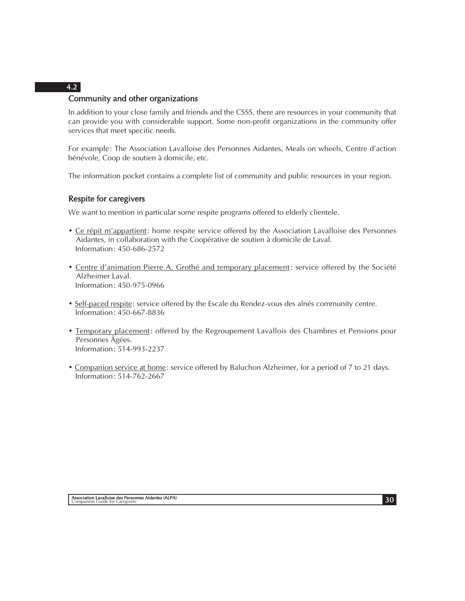## Community and other organizations

In addition to your close family and friends and the CSSS, there are resources in your community that can provide you with considerable support. Some non-profit organizations in the community offer services that meet specific needs.

For example: The Association Lavalloise des Personnes Aidantes, Meals on wheels, Centre d'action bénévole, Coop de soutien à domicile, etc.

The information pocket contains a complete list of community and public resources in your region.

#### Respite for caregivers

We want to mention in particular some respite programs offered to elderly clientele.

- Ce répit m'appartient: home respite service offered by the Association Lavalloise des Personnes Aidantes, in collaboration with the Coopérative de soutien à domicile de Laval. Information : 450-686-2572
- Centre d'animation Pierre A. Grothé and temporary placement: service offered by the Société Alzheimer Laval. Information : 450-975-0966
- Self-paced respite: service offered by the Escale du Rendez-vous des aînés community centre. Information : 450-667-8836
- Temporary placement: offered by the Regroupement Lavallois des Chambres et Pensions pour Personnes Âgées. Information : 514-993-2237
- Companion service at home: service offered by Baluchon Alzheimer, for a period of 7 to 21 days. Information : 514-762-2667

#### 4.2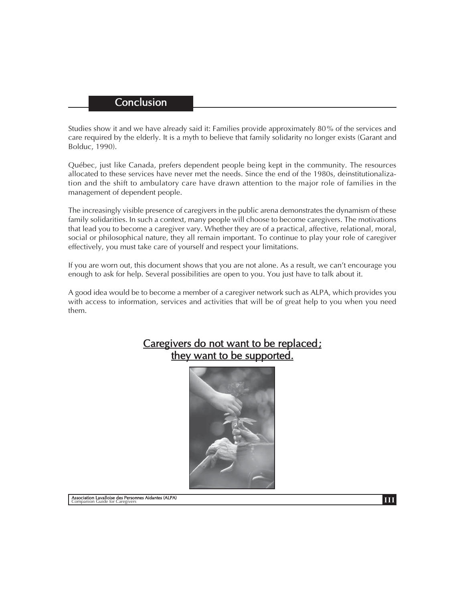## **Conclusion**

Studies show it and we have already said it: Families provide approximately 80 % of the services and care required by the elderly. It is a myth to believe that family solidarity no longer exists (Garant and Bolduc, 1990).

Québec, just like Canada, prefers dependent people being kept in the community. The resources allocated to these services have never met the needs. Since the end of the 1980s, deinstitutionalization and the shift to ambulatory care have drawn attention to the major role of families in the management of dependent people.

The increasingly visible presence of caregivers in the public arena demonstrates the dynamism of these family solidarities. In such a context, many people will choose to become caregivers. The motivations that lead you to become a caregiver vary. Whether they are of a practical, affective, relational, moral, social or philosophical nature, they all remain important. To continue to play your role of caregiver effectively, you must take care of yourself and respect your limitations.

If you are worn out, this document shows that you are not alone. As a result, we can't encourage you enough to ask for help. Several possibilities are open to you. You just have to talk about it.

A good idea would be to become a member of a caregiver network such as ALPA, which provides you with access to information, services and activities that will be of great help to you when you need them.



# Caregivers do not want to be replaced; they want to be supported.

**Internation Lavalloise des Personnes Aidantes (ALPA)** Companion Guide for Caregivers **and Companion Guide for Caregivers**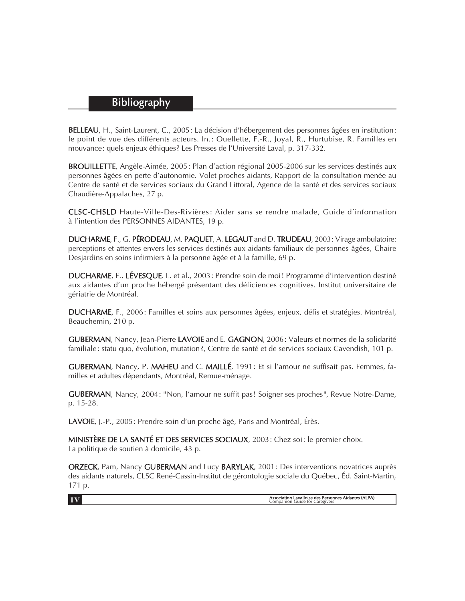# Bibliography

BELLEAU, H., Saint-Laurent, C., 2005 : La décision d'hébergement des personnes âgées en institution : le point de vue des différents acteurs. In.: Quellette, F.-R., Joyal, R., Hurtubise, R. Familles en mouvance : quels enjeux éthiques ? Les Presses de l'Université Laval, p. 317-332.

BROUILLETTE, Angèle-Aimée, 2005 : Plan d'action régional 2005-2006 sur les services destinés aux personnes âgées en perte d'autonomie. Volet proches aidants, Rapport de la consultation menée au Centre de santé et de services sociaux du Grand Littoral, Agence de la santé et des services sociaux Chaudière-Appalaches, 27 p.

CLSC-CHSLD Haute-Ville-Des-Rivières : Aider sans se rendre malade, Guide d'information à l'intention des PERSONNES AIDANTES, 19 p.

DUCHARME, F., G. PÉRODEAU, M. PAQUET, A. LEGAUT and D. TRUDEAU, 2003 : Virage ambulatoire: perceptions et attentes envers les services destinés aux aidants familiaux de personnes âgées, Chaire Desjardins en soins infirmiers à la personne âgée et à la famille, 69 p.

DUCHARME, F., LÉVESQUE. L. et al., 2003 : Prendre soin de moi ! Programme d'intervention destiné aux aidantes d'un proche hébergé présentant des déficiences cognitives. Institut universitaire de gériatrie de Montréal.

DUCHARME, F., 2006 : Familles et soins aux personnes âgées, enjeux, défis et stratégies. Montréal, Beauchemin, 210 p.

GUBERMAN, Nancy, Jean-Pierre LAVOIE and E. GAGNON, 2006: Valeurs et normes de la solidarité familiale : statu quo, évolution, mutation ?, Centre de santé et de services sociaux Cavendish, 101 p.

GUBERMAN, Nancy, P. MAHEU and C. MAILLÉ, 1991 : Et si l'amour ne suffisait pas. Femmes, familles et adultes dépendants, Montréal, Remue-ménage.

GUBERMAN, Nancy, 2004 : " Non, l'amour ne suffit pas ! Soigner ses proches ", Revue Notre-Dame, p. 15-28.

LAVOIE, J.-P., 2005 : Prendre soin d'un proche âgé, Paris and Montréal, Érès.

MINISTÈRE DE LA SANTÉ ET DES SERVICES SOCIAUX, 2003 : Chez soi : le premier choix. La politique de soutien à domicile, 43 p.

ORZECK, Pam, Nancy GUBERMAN and Lucy BARYLAK, 2001 : Des interventions novatrices auprès des aidants naturels, CLSC René-Cassin-Institut de gérontologie sociale du Québec, Éd. Saint-Martin, 171 p.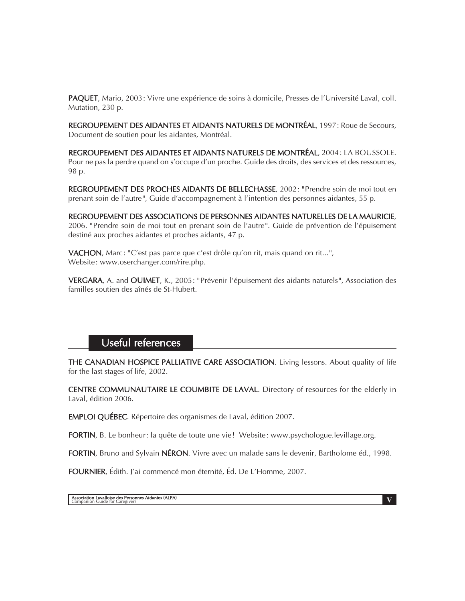PAQUET, Mario, 2003 : Vivre une expérience de soins à domicile, Presses de l'Université Laval, coll. Mutation, 230 p.

REGROUPEMENT DES AIDANTES ET AIDANTS NATURELS DE MONTRÉAL, 1997 : Roue de Secours, Document de soutien pour les aidantes, Montréal.

REGROUPEMENT DES AIDANTES ET AIDANTS NATURELS DE MONTRÉAL, 2004 : LA BOUSSOLE. Pour ne pas la perdre quand on s'occupe d'un proche. Guide des droits, des services et des ressources, 98 p.

REGROUPEMENT DES PROCHES AIDANTS DE BELLECHASSE, 2002 : " Prendre soin de moi tout en prenant soin de l'autre ", Guide d'accompagnement à l'intention des personnes aidantes, 55 p.

REGROUPEMENT DES ASSOCIATIONS DE PERSONNES AIDANTES NATURELLES DE LA MAURICIE, 2006. " Prendre soin de moi tout en prenant soin de l'autre ". Guide de prévention de l'épuisement destiné aux proches aidantes et proches aidants, 47 p.

VACHON, Marc : " C'est pas parce que c'est drôle qu'on rit, mais quand on rit... ", Website : www.oserchanger.com/rire.php.

VERGARA, A. and OUIMET, K., 2005 : " Prévenir l'épuisement des aidants naturels ", Association des familles soutien des aînés de St-Hubert.

# Useful references

THE CANADIAN HOSPICE PALLIATIVE CARE ASSOCIATION. Living lessons. About quality of life for the last stages of life, 2002.

CENTRE COMMUNAUTAIRE LE COUMBITE DE LAVAL. Directory of resources for the elderly in Laval, édition 2006.

EMPLOI QUÉBEC. Répertoire des organismes de Laval, édition 2007.

FORTIN, B. Le bonheur: la quête de toute une vie! Website: www.psychologue.levillage.org.

FORTIN, Bruno and Sylvain NÉRON. Vivre avec un malade sans le devenir, Bartholome éd., 1998.

FOURNIER, Édith. J'ai commencé mon éternité, Éd. De L'Homme, 2007.

**Association Lavalloise des Personnes Aidantes (ALPA)**<br>Companion Guide for Caregivers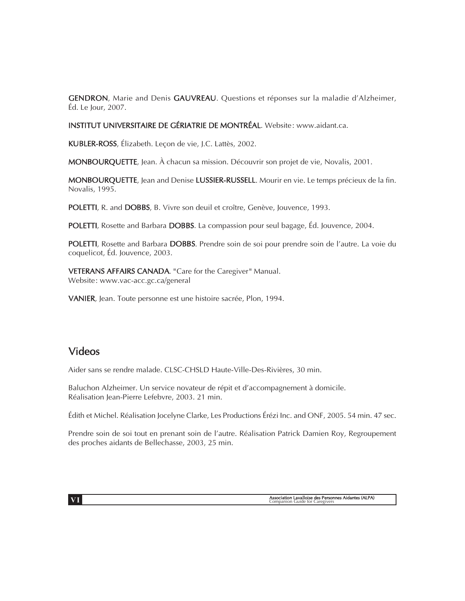GENDRON, Marie and Denis GAUVREAU. Questions et réponses sur la maladie d'Alzheimer, Éd. Le Jour, 2007.

INSTITUT UNIVERSITAIRE DE GÉRIATRIE DE MONTRÉAL. Website : www.aidant.ca.

KUBLER-ROSS, Élizabeth. Leçon de vie, J.C. Lattès, 2002.

MONBOURQUETTE, Jean. À chacun sa mission. Découvrir son projet de vie, Novalis, 2001.

MONBOURQUETTE, Jean and Denise LUSSIER-RUSSELL. Mourir en vie. Le temps précieux de la fin. Novalis, 1995.

POLETTI, R. and DOBBS, B. Vivre son deuil et croître, Genève, Jouvence, 1993.

POLETTI, Rosette and Barbara DOBBS. La compassion pour seul bagage, Éd. Jouvence, 2004.

POLETTI, Rosette and Barbara DOBBS. Prendre soin de soi pour prendre soin de l'autre. La voie du coquelicot, Éd. Jouvence, 2003.

VETERANS AFFAIRS CANADA. "Care for the Caregiver" Manual. Website : www.vac-acc.gc.ca/general

VANIER, Jean. Toute personne est une histoire sacrée, Plon, 1994.

# Videos

Aider sans se rendre malade. CLSC-CHSLD Haute-Ville-Des-Rivières, 30 min.

Baluchon Alzheimer. Un service novateur de répit et d'accompagnement à domicile. Réalisation Jean-Pierre Lefebvre, 2003. 21 min.

Édith et Michel. Réalisation Jocelyne Clarke, Les Productions Érézi Inc. and ONF, 2005. 54 min. 47 sec.

Prendre soin de soi tout en prenant soin de l'autre. Réalisation Patrick Damien Roy, Regroupement des proches aidants de Bellechasse, 2003, 25 min.